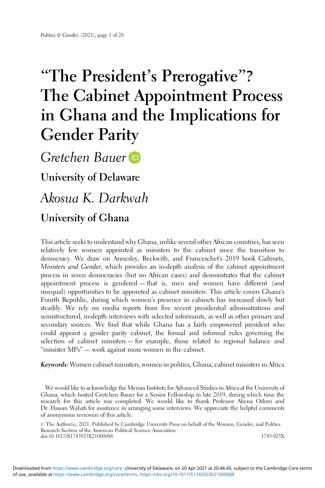# "The President's Prerogative"? The Cabinet Appointment Process in Ghana and the Implications for Gender Parity

Gretchen Bauer

University of Delaware

Akosua K. Darkwah

# University of Ghana

This article seeks to understand why Ghana, unlike several other African countries, has seen relatively few women appointed as ministers to the cabinet since the transition to democracy. We draw on Annesley, Beckwith, and Franceschet's 2019 book Cabinets, Ministers and Gender, which provides an in-depth analysis of the cabinet appointment process in seven democracies (but no African cases) and demonstrates that the cabinet appointment process is gendered — that is, men and women have different (and unequal) opportunities to be appointed as cabinet ministers. This article covers Ghana's Fourth Republic, during which women's presence in cabinets has increased slowly but steadily. We rely on media reports from five recent presidential administrations and semistructured, in-depth interviews with selected informants, as well as other primary and secondary sources. We find that while Ghana has a fairly empowered president who could appoint a gender parity cabinet, the formal and informal rules governing the selection of cabinet ministers — for example, those related to regional balance and "minister MPs" — work against more women in the cabinet.

Keywords: Women cabinet ministers, women in politics, Ghana, cabinet ministers in Africa

We would like to acknowledge the Merian Institute for Advanced Studies in Africa at the University of Ghana, which hosted Gretchen Bauer for a Senior Fellowship in late 2019, during which time the research for this article was completed. We would like to thank Professor Abena Oduro and Dr. Hassan Wahab for assistance in arranging some interviews. We appreciate the helpful comments of anonymous reviewers of this article.

© The Author(s), 2021. Published by Cambridge University Press on behalf of the Women, Gender, and Politics Research Section of the American Political Science Association doi:10.1017/S1743923X21000088 1743-923X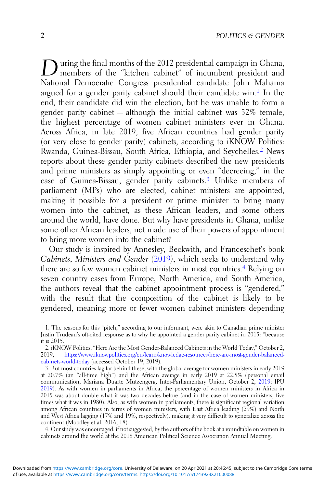During the final months of the 2012 presidential campaign in Ghana,<br>members of the "kitchen cabinet" of incumbent president and National Democratic Congress presidential candidate John Mahama argued for a gender parity cabinet should their candidate win.<sup>1</sup> In the end, their candidate did win the election, but he was unable to form a gender parity cabinet — although the initial cabinet was 32% female, the highest percentage of women cabinet ministers ever in Ghana. Across Africa, in late 2019, five African countries had gender parity (or very close to gender parity) cabinets, according to iKNOW Politics: Rwanda, Guinea-Bissau, South Africa, Ethiopia, and Seychelles.<sup>2</sup> News reports about these gender parity cabinets described the new presidents and prime ministers as simply appointing or even "decreeing," in the case of Guinea-Bissau, gender parity cabinets.<sup>3</sup> Unlike members of parliament (MPs) who are elected, cabinet ministers are appointed, making it possible for a president or prime minister to bring many women into the cabinet, as these African leaders, and some others around the world, have done. But why have presidents in Ghana, unlike some other African leaders, not made use of their powers of appointment to bring more women into the cabinet?

Our study is inspired by Annesley, Beckwith, and Franceschet's book Cabinets, Ministers and Gender ([2019](#page-25-0)), which seeks to understand why there are so few women cabinet ministers in most countries.<sup>4</sup> Relying on seven country cases from Europe, North America, and South America, the authors reveal that the cabinet appointment process is "gendered," with the result that the composition of the cabinet is likely to be gendered, meaning more or fewer women cabinet ministers depending

4. Our study was encouraged, if not suggested, by the authors of the book at a roundtable on women in cabinets around the world at the 2018 American Political Science Association Annual Meeting.

<sup>1.</sup> The reasons for this "pitch," according to our informant, were akin to Canadian prime minister Justin Trudeau's oft-cited response as to why he appointed a gender parity cabinet in 2015: "because it is 2015."

<sup>2.</sup> iKNOW Politics, "Here Are the Most Gender-Balanced Cabinets in the World Today," October 2, 2019, [https://www.iknowpolitics.org/en/learn/knowledge-resources/here-are-most-gender-balanced](https://www.iknowpolitics.org/en/learn/knowledge-resources/here-are-most-gender-balanced-cabinets-world-today)[cabinets-world-today](https://www.iknowpolitics.org/en/learn/knowledge-resources/here-are-most-gender-balanced-cabinets-world-today) (accessed October 19, 2019).

<sup>3.</sup> But most countries lag far behind these, with the global average for women ministers in early 2019 at 20.7% (an "all-time high") and the African average in early 2019 at 22.5% (personal email communication, Mariana Duarte Mutzengerg, Inter-Parliamentary Union, October 2, [2019](#page-26-0); IPU [2019\)](#page-26-0). As with women in parliaments in Africa, the percentage of women ministers in Africa in 2015 was about double what it was two decades before (and in the case of women ministers, five times what it was in 1980). Also, as with women in parliaments, there is significant regional variation among African countries in terms of women ministers, with East Africa leading (29%) and North and West Africa lagging (17% and 19%, respectively), making it very difficult to generalize across the continent (Moodley et al. 2016, 18).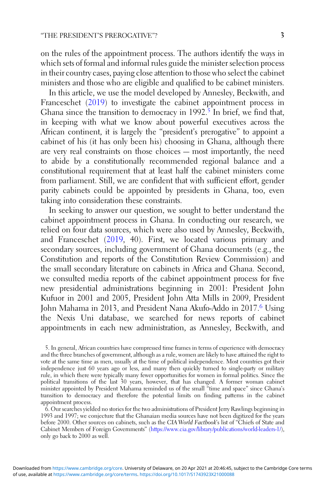on the rules of the appointment process. The authors identify the ways in which sets of formal and informal rules guide the minister selection process in their country cases, paying close attention to those who select the cabinet ministers and those who are eligible and qualified to be cabinet ministers.

In this article, we use the model developed by Annesley, Beckwith, and Franceschet ([2019](#page-25-0)) to investigate the cabinet appointment process in Ghana since the transition to democracy in  $1992.5$  In brief, we find that, in keeping with what we know about powerful executives across the African continent, it is largely the "president's prerogative" to appoint a cabinet of his (it has only been his) choosing in Ghana, although there are very real constraints on those choices — most importantly, the need to abide by a constitutionally recommended regional balance and a constitutional requirement that at least half the cabinet ministers come from parliament. Still, we are confident that with sufficient effort, gender parity cabinets could be appointed by presidents in Ghana, too, even taking into consideration these constraints.

In seeking to answer our question, we sought to better understand the cabinet appointment process in Ghana. In conducting our research, we relied on four data sources, which were also used by Annesley, Beckwith, and Franceschet ([2019,](#page-25-0) 40). First, we located various primary and secondary sources, including government of Ghana documents (e.g., the Constitution and reports of the Constitution Review Commission) and the small secondary literature on cabinets in Africa and Ghana. Second, we consulted media reports of the cabinet appointment process for five new presidential administrations beginning in 2001: President John Kufuor in 2001 and 2005, President John Atta Mills in 2009, President John Mahama in 2013, and President Nana Akufo-Addo in 2017.6 Using the Nexis Uni database, we searched for news reports of cabinet appointments in each new administration, as Annesley, Beckwith, and

<sup>5.</sup> In general, African countries have compressed time frames in terms of experience with democracy and the three branches of government, although as a rule, women are likely to have attained the right to vote at the same time as men, usually at the time of political independence. Most countries got their independence just 60 years ago or less, and many then quickly turned to single-party or military rule, in which there were typically many fewer opportunities for women in formal politics. Since the political transitions of the last 30 years, however, that has changed. A former woman cabinet minister appointed by President Mahama reminded us of the small "time and space" since Ghana's transition to democracy and therefore the potential limits on finding patterns in the cabinet appointment process.

<sup>6.</sup> Our searches yielded no stories for the two administrations of President Jerry Rawlings beginning in 1993 and 1997; we conjecture that the Ghanaian media sources have not been digitized for the years before 2000. Other sources on cabinets, such as the CIA World Factbook's list of "Chiefs of State and Cabinet Members of Foreign Governments" [\(https://www.cia.gov/library/publications/world-leaders-1/](https://www.cia.gov/library/publications/world-leaders-1/)), only go back to 2000 as well.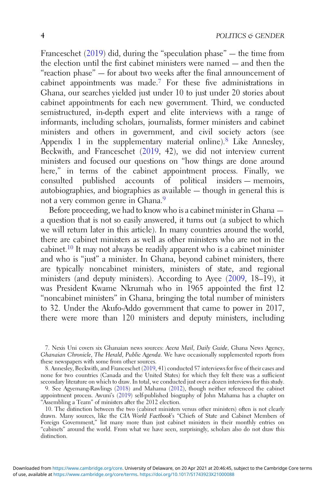Franceschet  $(2019)$  $(2019)$  did, during the "speculation phase" — the time from the election until the first cabinet ministers were named — and then the "reaction phase" — for about two weeks after the final announcement of cabinet appointments was made.<sup>7</sup> For these five administrations in Ghana, our searches yielded just under 10 to just under 20 stories about cabinet appointments for each new government. Third, we conducted semistructured, in-depth expert and elite interviews with a range of informants, including scholars, journalists, former ministers and cabinet ministers and others in government, and civil society actors (see Appendix 1 in the supplementary material online).<sup>8</sup> Like Annesley, Beckwith, and Franceschet [\(2019](#page-25-0), 42), we did not interview current ministers and focused our questions on "how things are done around here," in terms of the cabinet appointment process. Finally, we consulted published accounts of political insiders — memoirs, autobiographies, and biographies as available — though in general this is not a very common genre in Ghana.<sup>9</sup>

Before proceeding, we had to know who is a cabinet minister in Ghana a question that is not so easily answered, it turns out (a subject to which we will return later in this article). In many countries around the world, there are cabinet ministers as well as other ministers who are not in the cabinet.<sup>10</sup> It may not always be readily apparent who is a cabinet minister and who is "just" a minister. In Ghana, beyond cabinet ministers, there are typically noncabinet ministers, ministers of state, and regional ministers (and deputy ministers). According to Ayee [\(2009](#page-25-0), 18–19), it was President Kwame Nkrumah who in 1965 appointed the first 12 "noncabinet ministers" in Ghana, bringing the total number of ministers to 32. Under the Akufo-Addo government that came to power in 2017, there were more than 120 ministers and deputy ministers, including

8. Annesley, Beckwith, and Franceschet ([2019,](#page-25-0) 41) conducted 57 interviews for five of their cases and none for two countries (Canada and the United States) for which they felt there was a sufficient secondary literature on which to draw. In total, we conducted just over a dozen interviews for this study.

9. See Agyemang-Rawlings ([2018\)](#page-25-0) and Mahama ([2012\)](#page-26-0), though neither referenced the cabinet appointment process. Awuni's ([2019\)](#page-25-0) self-published biography of John Mahama has a chapter on "Assembling a Team" of ministers after the 2012 election.

<sup>7.</sup> Nexis Uni covers six Ghanaian news sources: Accra Mail, Daily Guide, Ghana News Agency, Ghanaian Chronicle, The Herald, Public Agenda. We have occasionally supplemented reports from these newspapers with some from other sources.

<sup>10.</sup> The distinction between the two (cabinet ministers versus other ministers) often is not clearly drawn. Many sources, like the CIA World Factbook's "Chiefs of State and Cabinet Members of Foreign Government," list many more than just cabinet ministers in their monthly entries on "cabinets" around the world. From what we have seen, surprisingly, scholars also do not draw this distinction.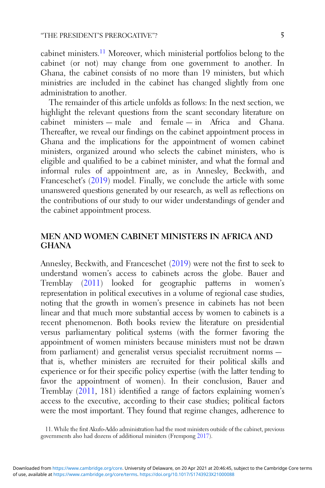cabinet ministers.<sup>11</sup> Moreover, which ministerial portfolios belong to the cabinet (or not) may change from one government to another. In Ghana, the cabinet consists of no more than 19 ministers, but which ministries are included in the cabinet has changed slightly from one administration to another.

The remainder of this article unfolds as follows: In the next section, we highlight the relevant questions from the scant secondary literature on cabinet ministers — male and female — in Africa and Ghana. Thereafter, we reveal our findings on the cabinet appointment process in Ghana and the implications for the appointment of women cabinet ministers, organized around who selects the cabinet ministers, who is eligible and qualified to be a cabinet minister, and what the formal and informal rules of appointment are, as in Annesley, Beckwith, and Franceschet's ([2019\)](#page-25-0) model. Finally, we conclude the article with some unanswered questions generated by our research, as well as reflections on the contributions of our study to our wider understandings of gender and the cabinet appointment process.

# MEN AND WOMEN CABINET MINISTERS IN AFRICA AND GHANA

Annesley, Beckwith, and Franceschet [\(2019](#page-25-0)) were not the first to seek to understand women's access to cabinets across the globe. Bauer and Tremblay [\(2011](#page-25-0)) looked for geographic patterns in women's representation in political executives in a volume of regional case studies, noting that the growth in women's presence in cabinets has not been linear and that much more substantial access by women to cabinets is a recent phenomenon. Both books review the literature on presidential versus parliamentary political systems (with the former favoring the appointment of women ministers because ministers must not be drawn from parliament) and generalist versus specialist recruitment norms that is, whether ministers are recruited for their political skills and experience or for their specific policy expertise (with the latter tending to favor the appointment of women). In their conclusion, Bauer and Tremblay [\(2011](#page-25-0), 181) identified a range of factors explaining women's access to the executive, according to their case studies; political factors were the most important. They found that regime changes, adherence to

<sup>11.</sup> While the first Akufo-Addo administration had the most ministers outside of the cabinet, previous governments also had dozens of additional ministers (Frempong [2017\)](#page-26-0).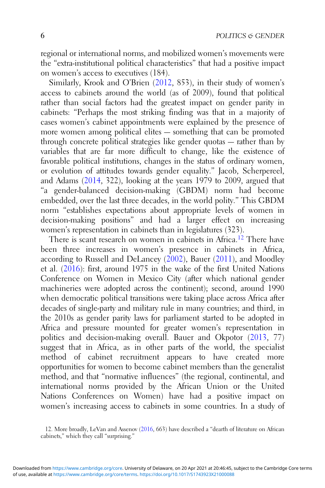regional or international norms, and mobilized women's movements were the "extra-institutional political characteristics" that had a positive impact on women's access to executives (184).

Similarly, Krook and O'Brien [\(2012](#page-26-0), 853), in their study of women's access to cabinets around the world (as of 2009), found that political rather than social factors had the greatest impact on gender parity in cabinets: "Perhaps the most striking finding was that in a majority of cases women's cabinet appointments were explained by the presence of more women among political elites — something that can be promoted through concrete political strategies like gender quotas — rather than by variables that are far more difficult to change, like the existence of favorable political institutions, changes in the status of ordinary women, or evolution of attitudes towards gender equality." Jacob, Scherpereel, and Adams ([2014,](#page-26-0) 322), looking at the years 1979 to 2009, argued that "a gender-balanced decision-making (GBDM) norm had become embedded, over the last three decades, in the world polity." This GBDM norm "establishes expectations about appropriate levels of women in decision-making positions" and had a larger effect on increasing women's representation in cabinets than in legislatures (323).

There is scant research on women in cabinets in Africa.<sup>12</sup> There have been three increases in women's presence in cabinets in Africa, according to Russell and DeLancey [\(2002](#page-27-0)), Bauer ([2011\)](#page-25-0), and Moodley et al. [\(2016](#page-27-0)): first, around 1975 in the wake of the first United Nations Conference on Women in Mexico City (after which national gender machineries were adopted across the continent); second, around 1990 when democratic political transitions were taking place across Africa after decades of single-party and military rule in many countries; and third, in the 2010s as gender parity laws for parliament started to be adopted in Africa and pressure mounted for greater women's representation in politics and decision-making overall. Bauer and Okpotor ([2013,](#page-25-0) 77) suggest that in Africa, as in other parts of the world, the specialist method of cabinet recruitment appears to have created more opportunities for women to become cabinet members than the generalist method, and that "normative influences" (the regional, continental, and international norms provided by the African Union or the United Nations Conferences on Women) have had a positive impact on women's increasing access to cabinets in some countries. In a study of

<sup>12.</sup> More broadly, LeVan and Assenov [\(2016](#page-26-0), 663) have described a "dearth of literature on African cabinets," which they call "surprising."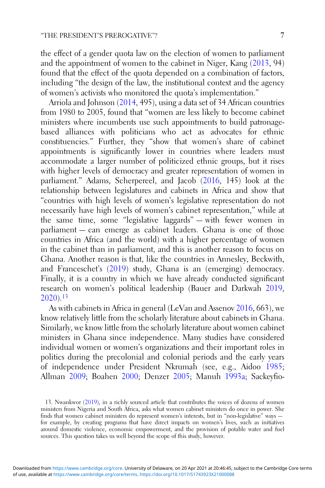the effect of a gender quota law on the election of women to parliament and the appointment of women to the cabinet in Niger, Kang ([2013,](#page-26-0) 94) found that the effect of the quota depended on a combination of factors, including "the design of the law, the institutional context and the agency of women's activists who monitored the quota's implementation."

Arriola and Johnson ([2014,](#page-25-0) 495), using a data set of 34 African countries from 1980 to 2005, found that "women are less likely to become cabinet ministers where incumbents use such appointments to build patronagebased alliances with politicians who act as advocates for ethnic constituencies." Further, they "show that women's share of cabinet appointments is significantly lower in countries where leaders must accommodate a larger number of politicized ethnic groups, but it rises with higher levels of democracy and greater representation of women in parliament." Adams, Scherpereel, and Jacob ([2016,](#page-24-0) 145) look at the relationship between legislatures and cabinets in Africa and show that "countries with high levels of women's legislative representation do not necessarily have high levels of women's cabinet representation," while at the same time, some "legislative laggards" — with fewer women in parliament — can emerge as cabinet leaders. Ghana is one of those countries in Africa (and the world) with a higher percentage of women in the cabinet than in parliament, and this is another reason to focus on Ghana. Another reason is that, like the countries in Annesley, Beckwith, and Franceschet's [\(2019](#page-25-0)) study, Ghana is an (emerging) democracy. Finally, it is a country in which we have already conducted significant research on women's political leadership (Bauer and Darkwah [2019](#page-25-0), [2020](#page-25-0)).<sup>13</sup>

As with cabinets in Africa in general (LeVan and Assenov [2016,](#page-26-0) 663), we know relatively little from the scholarly literature about cabinets in Ghana. Similarly, we know little from the scholarly literature about women cabinet ministers in Ghana since independence. Many studies have considered individual women or women's organizations and their important roles in politics during the precolonial and colonial periods and the early years of independence under President Nkrumah (see, e.g., Aidoo [1985](#page-25-0); Allman [2009;](#page-25-0) Boahen [2000;](#page-26-0) Denzer [2005](#page-26-0); Manuh [1993a;](#page-26-0) Sackeyfio-

<sup>13.</sup> Nwankwor ([2019\)](#page-27-0), in a richly sourced article that contributes the voices of dozens of women ministers from Nigeria and South Africa, asks what women cabinet ministers do once in power. She finds that women cabinet ministers do represent women's interests, but in "non-legislative" ways for example, by creating programs that have direct impacts on women's lives, such as initiatives around domestic violence, economic empowerment, and the provision of potable water and fuel sources. This question takes us well beyond the scope of this study, however.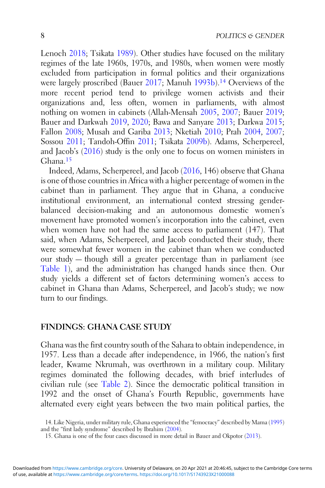Lenoch [2018;](#page-27-0) Tsikata [1989](#page-27-0)). Other studies have focused on the military regimes of the late 1960s, 1970s, and 1980s, when women were mostly excluded from participation in formal politics and their organizations were largely proscribed (Bauer [2017](#page-25-0); Manuh [1993b\)](#page-26-0).<sup>14</sup> Overviews of the more recent period tend to privilege women activists and their organizations and, less often, women in parliaments, with almost nothing on women in cabinets (Allah-Mensah [2005](#page-25-0), [2007;](#page-25-0) Bauer [2019](#page-25-0); Bauer and Darkwah [2019,](#page-25-0) [2020](#page-25-0); Bawa and Sanyare [2013;](#page-25-0) Darkwa [2015](#page-26-0); Fallon [2008;](#page-26-0) Musah and Gariba [2013](#page-27-0); Nketiah [2010;](#page-27-0) Prah [2004,](#page-27-0) [2007](#page-27-0); Sossou [2011](#page-27-0); Tandoh-Offin [2011](#page-27-0); Tsikata [2009b](#page-27-0)). Adams, Scherpereel, and Jacob's [\(2016](#page-24-0)) study is the only one to focus on women ministers in Ghana.<sup>15</sup>

Indeed, Adams, Scherpereel, and Jacob [\(2016](#page-24-0), 146) observe that Ghana is one of those countries in Africa with a higher percentage of women in the cabinet than in parliament. They argue that in Ghana, a conducive institutional environment, an international context stressing genderbalanced decision-making and an autonomous domestic women's movement have promoted women's incorporation into the cabinet, even when women have not had the same access to parliament (147). That said, when Adams, Scherpereel, and Jacob conducted their study, there were somewhat fewer women in the cabinet than when we conducted our study — though still a greater percentage than in parliament (see [Table 1](#page-8-0)), and the administration has changed hands since then. Our study yields a different set of factors determining women's access to cabinet in Ghana than Adams, Scherpereel, and Jacob's study; we now turn to our findings.

#### FINDINGS: GHANA CASE STUDY

Ghana was the first country south of the Sahara to obtain independence, in 1957. Less than a decade after independence, in 1966, the nation's first leader, Kwame Nkrumah, was overthrown in a military coup. Military regimes dominated the following decades, with brief interludes of civilian rule (see [Table 2](#page-9-0)). Since the democratic political transition in 1992 and the onset of Ghana's Fourth Republic, governments have alternated every eight years between the two main political parties, the

<sup>14.</sup> Like Nigeria, under military rule, Ghana experienced the "femocracy" described by Mama [\(1995](#page-26-0)) and the "first lady syndrome" described by Ibrahim ([2004\)](#page-26-0).

<sup>15.</sup> Ghana is one of the four cases discussed in more detail in Bauer and Okpotor [\(2013](#page-25-0)).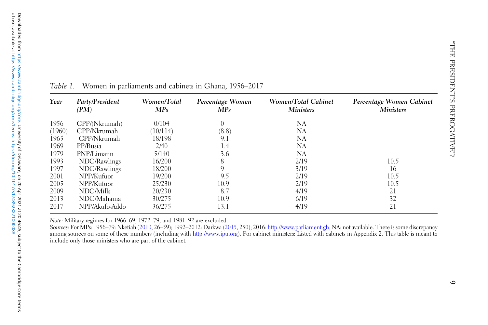| Year   | Party/President<br>(PM) | Women/Total<br>MPs | Percentage Women<br>MPs | Women/Total Cabinet<br><b>Ministers</b> | Percentage Women Cabinet<br><b>Ministers</b> |
|--------|-------------------------|--------------------|-------------------------|-----------------------------------------|----------------------------------------------|
| 1956   | CPP/(Nkrumah)           | 0/104              | $\left($                | NA                                      |                                              |
| (1960) | CPP/Nkrumah             | 10/114             | (8.8)                   | NA                                      |                                              |
| 1965   | CPP/Nkrumah             | 18/198             | 9.1                     | NA                                      |                                              |
| 1969   | PP/Busia                | 2/40               | 1.4                     | NA                                      |                                              |
| 1979   | PNP/Limann              | 5/140              | 3.6                     | NA                                      |                                              |
| 1993   | NDC/Rawlings            | 16/200             | 8                       | 2/19                                    | 10.5                                         |
| 1997   | NDC/Rawlings            | 18/200             | 9                       | 3/19                                    | 16                                           |
| 2001   | NPP/Kufuor              | 19/200             | 9.5                     | 2/19                                    | 10.5                                         |
| 2005   | NPP/Kufuor              | 25/230             | 10.9                    | 2/19                                    | 10.5                                         |
| 2009   | NDC/Mills               | 20/230             | 8.7                     | 4/19                                    | 21                                           |
| 2013   | NDC/Mahama              | 30/275             | 10.9                    | 6/19                                    | 32                                           |
| 2017   | NPP/Akufo-Addo          | 36/275             | 13.1                    | 4/19                                    | 21                                           |
|        |                         |                    |                         |                                         |                                              |

<span id="page-8-0"></span>

|  |  |  | Table 1. Women in parliaments and cabinets in Ghana, 1956–2017 |  |  |
|--|--|--|----------------------------------------------------------------|--|--|
|--|--|--|----------------------------------------------------------------|--|--|

Note: Military regimes for 1966–69, 1972–79, and 1981–92 are excluded.

Sources: For MPs: 1956–79: Nketiah ([2010](#page-27-0), 26–59); 1992–2012: Darkwa [\(2015](#page-26-0), 250); 2016: <http://>[www.parliament.gh](https://www.parliament.gh); NA: not available. There is some discrepancy among sources on some of these numbers (including with <http://>[www.ipu.org](https://www.ipu.org)). For cabinet ministers: Listed with cabinets in Appendix 2. This table is meant to include only those ministers who are par<sup>t</sup> of the cabinet.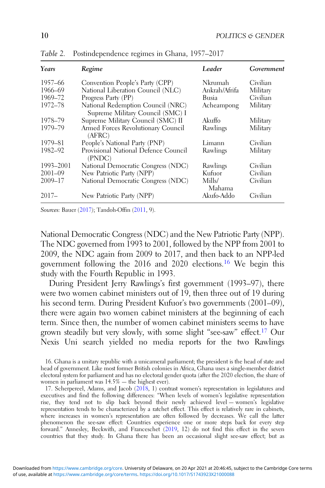| Years       | Regime                                                                | Leader           | Government |
|-------------|-----------------------------------------------------------------------|------------------|------------|
| 1957–66     | Convention People's Party (CPP)                                       | Nkrumah          | Civilian   |
| 1966-69     | National Liberation Council (NLC)                                     | Ankrah/Afrifa    | Military   |
| 1969-72     | Progress Party (PP)                                                   | Busia            | Civilian   |
| 1972-78     | National Redemption Council (NRC)<br>Supreme Military Council (SMC) I | Acheampong       | Military   |
| 1978-79     | Supreme Military Council (SMC) II                                     | Akuffo           | Military   |
| 1979-79     | Armed Forces Revolutionary Council<br>(AFRC)                          | Rawlings         | Military   |
| 1979-81     | People's National Party (PNP)                                         | Limann           | Civilian   |
| 1982-92     | Provisional National Defence Council<br>(PNDC)                        | Rawlings         | Military   |
| 1993-2001   | National Democratic Congress (NDC)                                    | Rawlings         | Civilian   |
| $2001 - 09$ | New Patriotic Party (NPP)                                             | Kufuor           | Civilian   |
| $2009 - 17$ | National Democratic Congress (NDC)                                    | Mills/<br>Mahama | Civilian   |
| $2017-$     | New Patriotic Party (NPP)                                             | Akufo-Addo       | Civilian   |

<span id="page-9-0"></span>Table 2. Postindependence regimes in Ghana, 1957–2017

Sources: Bauer ([2017](#page-25-0)); Tandoh-Offin [\(2011](#page-27-0), 9).

National Democratic Congress (NDC) and the New Patriotic Party (NPP). The NDC governed from 1993 to 2001, followed by the NPP from 2001 to 2009, the NDC again from 2009 to 2017, and then back to an NPP-led government following the 2016 and 2020 elections.<sup>16</sup> We begin this study with the Fourth Republic in 1993.

During President Jerry Rawlings's first government (1993–97), there were two women cabinet ministers out of 19, then three out of 19 during his second term. During President Kufuor's two governments (2001–09), there were again two women cabinet ministers at the beginning of each term. Since then, the number of women cabinet ministers seems to have grown steadily but very slowly, with some slight "see-saw" effect.<sup>17</sup> Our Nexis Uni search yielded no media reports for the two Rawlings

<sup>16.</sup> Ghana is a unitary republic with a unicameral parliament; the president is the head of state and head of government. Like most former British colonies in Africa, Ghana uses a single-member district electoral system for parliament and has no electoral gender quota (after the 2020 election, the share of women in parliament was 14.5% — the highest ever).

<sup>17.</sup> Scherpereel, Adams, and Jacob  $(20\bar{1}8, 1)$  contrast women's representation in legislatures and executives and find the following differences: "When levels of women's legislative representation rise, they tend not to slip back beyond their newly achieved level — women's legislative representation tends to be characterized by a ratchet effect. This effect is relatively rare in cabinets, where increases in women's representation are often followed by decreases. We call the latter phenomenon the see-saw effect: Countries experience one or more steps back for every step forward." Annesley, Beckwith, and Franceschet [\(2019](#page-25-0), 12) do not find this effect in the seven countries that they study. In Ghana there has been an occasional slight see-saw effect; but as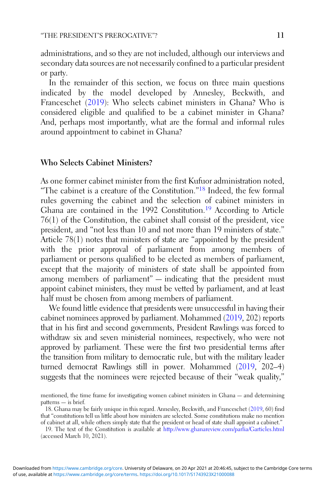administrations, and so they are not included, although our interviews and secondary data sources are not necessarily confined to a particular president or party.

In the remainder of this section, we focus on three main questions indicated by the model developed by Annesley, Beckwith, and Franceschet [\(2019](#page-25-0)): Who selects cabinet ministers in Ghana? Who is considered eligible and qualified to be a cabinet minister in Ghana? And, perhaps most importantly, what are the formal and informal rules around appointment to cabinet in Ghana?

### Who Selects Cabinet Ministers?

As one former cabinet minister from the first Kufuor administration noted, "The cabinet is a creature of the Constitution."<sup>18</sup> Indeed, the few formal rules governing the cabinet and the selection of cabinet ministers in Ghana are contained in the 1992 Constitution.<sup>19</sup> According to Article 76(1) of the Constitution, the cabinet shall consist of the president, vice president, and "not less than 10 and not more than 19 ministers of state." Article 78(1) notes that ministers of state are "appointed by the president with the prior approval of parliament from among members of parliament or persons qualified to be elected as members of parliament, except that the majority of ministers of state shall be appointed from among members of parliament" — indicating that the president must appoint cabinet ministers, they must be vetted by parliament, and at least half must be chosen from among members of parliament.

We found little evidence that presidents were unsuccessful in having their cabinet nominees approved by parliament. Mohammed [\(2019,](#page-27-0) 202) reports that in his first and second governments, President Rawlings was forced to withdraw six and seven ministerial nominees, respectively, who were not approved by parliament. These were the first two presidential terms after the transition from military to democratic rule, but with the military leader turned democrat Rawlings still in power. Mohammed ([2019](#page-27-0), 202–4) suggests that the nominees were rejected because of their "weak quality,"

mentioned, the time frame for investigating women cabinet ministers in Ghana — and determining patterns — is brief.

<sup>18.</sup> Ghana may be fairly unique in this regard. Annesley, Beckwith, and Franceschet ([2019,](#page-25-0) 60) find that "constitutions tell us little about how ministers are selected. Some constitutions make no mention of cabinet at all, while others simply state that the president or head of state shall appoint a cabinet."

<sup>19.</sup> The text of the Constitution is available at <http://www.ghanareview.com/parlia/Garticles.html> (accessed March 10, 2021).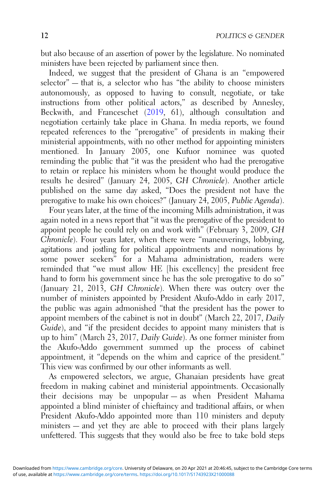but also because of an assertion of power by the legislature. No nominated ministers have been rejected by parliament since then.

Indeed, we suggest that the president of Ghana is an "empowered selector" — that is, a selector who has "the ability to choose ministers autonomously, as opposed to having to consult, negotiate, or take instructions from other political actors," as described by Annesley, Beckwith, and Franceschet [\(2019](#page-25-0), 61), although consultation and negotiation certainly take place in Ghana. In media reports, we found repeated references to the "prerogative" of presidents in making their ministerial appointments, with no other method for appointing ministers mentioned. In January 2005, one Kufuor nominee was quoted reminding the public that "it was the president who had the prerogative to retain or replace his ministers whom he thought would produce the results he desired" (January 24, 2005, GH Chronicle). Another article published on the same day asked, "Does the president not have the prerogative to make his own choices?" (January 24, 2005, Public Agenda).

Four years later, at the time of the incoming Mills administration, it was again noted in a news report that "it was the prerogative of the president to appoint people he could rely on and work with" (February 3, 2009, GH Chronicle). Four years later, when there were "maneuverings, lobbying, agitations and jostling for political appointments and nominations by some power seekers" for a Mahama administration, readers were reminded that "we must allow HE [his excellency] the president free hand to form his government since he has the sole prerogative to do so" (January 21, 2013, GH Chronicle). When there was outcry over the number of ministers appointed by President Akufo-Addo in early 2017, the public was again admonished "that the president has the power to appoint members of the cabinet is not in doubt" (March 22, 2017, Daily Guide), and "if the president decides to appoint many ministers that is up to him" (March 23, 2017, Daily Guide). As one former minister from the Akufo-Addo government summed up the process of cabinet appointment, it "depends on the whim and caprice of the president." This view was confirmed by our other informants as well.

As empowered selectors, we argue, Ghanaian presidents have great freedom in making cabinet and ministerial appointments. Occasionally their decisions may be unpopular — as when President Mahama appointed a blind minister of chieftaincy and traditional affairs, or when President Akufo-Addo appointed more than 110 ministers and deputy ministers — and yet they are able to proceed with their plans largely unfettered. This suggests that they would also be free to take bold steps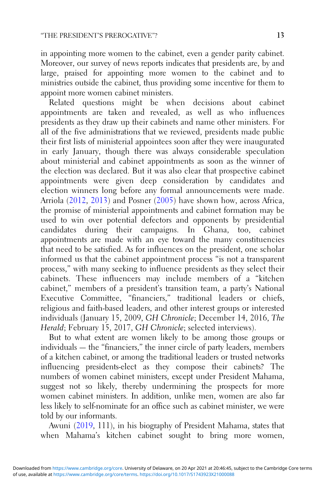in appointing more women to the cabinet, even a gender parity cabinet. Moreover, our survey of news reports indicates that presidents are, by and large, praised for appointing more women to the cabinet and to ministries outside the cabinet, thus providing some incentive for them to appoint more women cabinet ministers.

Related questions might be when decisions about cabinet appointments are taken and revealed, as well as who influences presidents as they draw up their cabinets and name other ministers. For all of the five administrations that we reviewed, presidents made public their first lists of ministerial appointees soon after they were inaugurated in early January, though there was always considerable speculation about ministerial and cabinet appointments as soon as the winner of the election was declared. But it was also clear that prospective cabinet appointments were given deep consideration by candidates and election winners long before any formal announcements were made. Arriola ([2012](#page-25-0), [2013](#page-25-0)) and Posner ([2005](#page-27-0)) have shown how, across Africa, the promise of ministerial appointments and cabinet formation may be used to win over potential defectors and opponents by presidential candidates during their campaigns. In Ghana, too, cabinet appointments are made with an eye toward the many constituencies that need to be satisfied. As for influences on the president, one scholar informed us that the cabinet appointment process "is not a transparent process," with many seeking to influence presidents as they select their cabinets. These influencers may include members of a "kitchen cabinet," members of a president's transition team, a party's National Executive Committee, "financiers," traditional leaders or chiefs, religious and faith-based leaders, and other interest groups or interested individuals (January 15, 2009, GH Chronicle; December 14, 2016, The Herald; February 15, 2017, GH Chronicle; selected interviews).

But to what extent are women likely to be among those groups or individuals — the "financiers," the inner circle of party leaders, members of a kitchen cabinet, or among the traditional leaders or trusted networks influencing presidents-elect as they compose their cabinets? The numbers of women cabinet ministers, except under President Mahama, suggest not so likely, thereby undermining the prospects for more women cabinet ministers. In addition, unlike men, women are also far less likely to self-nominate for an office such as cabinet minister, we were told by our informants.

Awuni [\(2019](#page-25-0), 111), in his biography of President Mahama, states that when Mahama's kitchen cabinet sought to bring more women,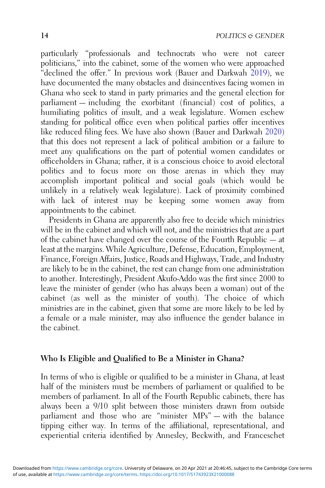particularly "professionals and technocrats who were not career politicians," into the cabinet, some of the women who were approached "declined the offer." In previous work (Bauer and Darkwah  $2019$ ), we have documented the many obstacles and disincentives facing women in Ghana who seek to stand in party primaries and the general election for parliament — including the exorbitant (financial) cost of politics, a humiliating politics of insult, and a weak legislature. Women eschew standing for political office even when political parties offer incentives like reduced filing fees. We have also shown (Bauer and Darkwah [2020](#page-25-0)) that this does not represent a lack of political ambition or a failure to meet any qualifications on the part of potential women candidates or officeholders in Ghana; rather, it is a conscious choice to avoid electoral politics and to focus more on those arenas in which they may accomplish important political and social goals (which would be unlikely in a relatively weak legislature). Lack of proximity combined with lack of interest may be keeping some women away from appointments to the cabinet.

Presidents in Ghana are apparently also free to decide which ministries will be in the cabinet and which will not, and the ministries that are a part of the cabinet have changed over the course of the Fourth Republic — at least at the margins. While Agriculture, Defense, Education, Employment, Finance, Foreign Affairs, Justice, Roads and Highways, Trade, and Industry are likely to be in the cabinet, the rest can change from one administration to another. Interestingly, President Akufo-Addo was the first since 2000 to leave the minister of gender (who has always been a woman) out of the cabinet (as well as the minister of youth). The choice of which ministries are in the cabinet, given that some are more likely to be led by a female or a male minister, may also influence the gender balance in the cabinet.

#### Who Is Eligible and Qualified to Be a Minister in Ghana?

In terms of who is eligible or qualified to be a minister in Ghana, at least half of the ministers must be members of parliament or qualified to be members of parliament. In all of the Fourth Republic cabinets, there has always been a 9/10 split between those ministers drawn from outside parliament and those who are "minister MPs" — with the balance tipping either way. In terms of the affiliational, representational, and experiential criteria identified by Annesley, Beckwith, and Franceschet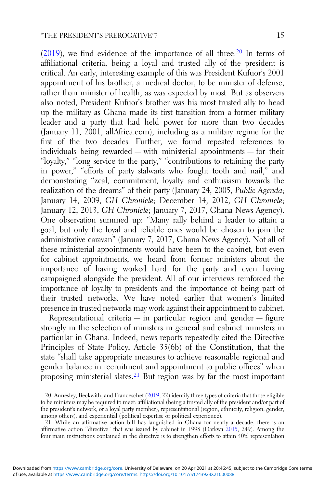$(2019)$  $(2019)$ , we find evidence of the importance of all three.<sup>20</sup> In terms of affiliational criteria, being a loyal and trusted ally of the president is critical. An early, interesting example of this was President Kufuor's 2001 appointment of his brother, a medical doctor, to be minister of defense, rather than minister of health, as was expected by most. But as observers also noted, President Kufuor's brother was his most trusted ally to head up the military as Ghana made its first transition from a former military leader and a party that had held power for more than two decades (January 11, 2001, allAfrica.com), including as a military regime for the first of the two decades. Further, we found repeated references to individuals being rewarded — with ministerial appointments — for their "loyalty," "long service to the party," "contributions to retaining the party in power," "efforts of party stalwarts who fought tooth and nail," and demonstrating "zeal, commitment, loyalty and enthusiasm towards the realization of the dreams" of their party (January 24, 2005, Public Agenda; January 14, 2009, GH Chronicle; December 14, 2012, GH Chronicle; January 12, 2013, GH Chronicle; January 7, 2017, Ghana News Agency). One observation summed up: "Many rally behind a leader to attain a goal, but only the loyal and reliable ones would be chosen to join the administrative caravan" (January 7, 2017, Ghana News Agency). Not all of these ministerial appointments would have been to the cabinet, but even for cabinet appointments, we heard from former ministers about the importance of having worked hard for the party and even having campaigned alongside the president. All of our interviews reinforced the importance of loyalty to presidents and the importance of being part of their trusted networks. We have noted earlier that women's limited presence in trusted networks may work against their appointment to cabinet.

Representational criteria — in particular region and gender — figure strongly in the selection of ministers in general and cabinet ministers in particular in Ghana. Indeed, news reports repeatedly cited the Directive Principles of State Policy, Article  $35(6b)$  of the Constitution, that the state "shall take appropriate measures to achieve reasonable regional and gender balance in recruitment and appointment to public offices" when proposing ministerial slates.21 But region was by far the most important

21. While an affirmative action bill has languished in Ghana for nearly a decade, there is an affirmative action "directive" that was issued by cabinet in 1998 (Darkwa [2015](#page-26-0), 249). Among the four main instructions contained in the directive is to strengthen efforts to attain 40% representation

<sup>20.</sup> Annesley, Beckwith, and Franceschet ([2019,](#page-25-0) 22) identify three types of criteria that those eligible to be ministers may be required to meet: affiliational (being a trusted ally of the president and/or part of the president's network, or a loyal party member), representational (region, ethnicity, religion, gender, among others), and experiential (political expertise or political experience).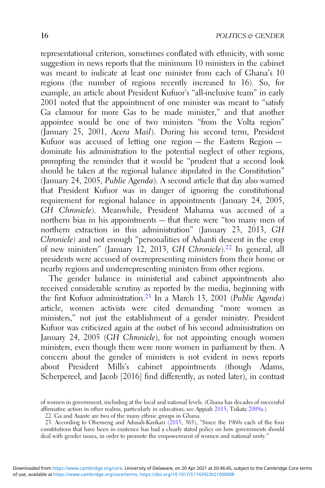representational criterion, sometimes conflated with ethnicity, with some suggestion in news reports that the minimum 10 ministers in the cabinet was meant to indicate at least one minister from each of Ghana's 10 regions (the number of regions recently increased to 16). So, for example, an article about President Kufuor's "all-inclusive team" in early 2001 noted that the appointment of one minister was meant to "satisfy" Ga clamour for more Gas to be made minister," and that another appointee would be one of two ministers "from the Volta region" (January 25, 2001, Accra Mail). During his second term, President Kufuor was accused of letting one region — the Eastern Region dominate his administration to the potential neglect of other regions, prompting the reminder that it would be "prudent that a second look should be taken at the regional balance stipulated in the Constitution" (January 24, 2005, Public Agenda). A second article that day also warned that President Kufuor was in danger of ignoring the constitutional requirement for regional balance in appointments (January 24, 2005, GH Chronicle). Meanwhile, President Mahama was accused of a northern bias in his appointments — that there were "too many men of northern extraction in this administration" (January 23, 2013, GH Chronicle) and not enough "personalities of Ashanti descent in the crop of new ministers" (January 12, 2013, GH Chronicle).<sup>22</sup> In general, all presidents were accused of overrepresenting ministers from their home or nearby regions and underrepresenting ministers from other regions.

The gender balance in ministerial and cabinet appointments also received considerable scrutiny as reported by the media, beginning with the first Kufuor administration.23 In a March 13, 2001 (Public Agenda) article, women activists were cited demanding "more women as ministers," not just the establishment of a gender ministry. President Kufuor was criticized again at the outset of his second administration on January 24, 2005 (GH Chronicle), for not appointing enough women ministers, even though there were more women in parliament by then. A concern about the gender of ministers is not evident in news reports about President Mills's cabinet appointments (though Adams, Scherpereel, and Jacob [2016] find differently, as noted later), in contrast

of women in government, including at the local and national levels. (Ghana has decades of successful affirmative action in other realms, particularly in education; see Appiah [2015](#page-25-0); Tsikata [2009a.](#page-27-0))

<sup>22.</sup> Ga and Asante are two of the many ethnic groups in Ghana.

<sup>23.</sup> According to Ohemeng and Adusah-Karikari [\(2015](#page-27-0), 365), "Since the 1960s each of the four constitutions that have been in existence has had a clearly stated policy on how governments should deal with gender issues, in order to promote the empowerment of women and national unity."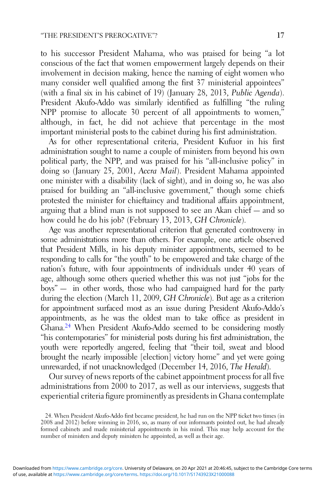to his successor President Mahama, who was praised for being "a lot conscious of the fact that women empowerment largely depends on their involvement in decision making, hence the naming of eight women who many consider well qualified among the first 37 ministerial appointees" (with a final six in his cabinet of 19) (January 28, 2013, Public Agenda). President Akufo-Addo was similarly identified as fulfilling "the ruling NPP promise to allocate 30 percent of all appointments to women," although, in fact, he did not achieve that percentage in the most important ministerial posts to the cabinet during his first administration.

As for other representational criteria, President Kufuor in his first administration sought to name a couple of ministers from beyond his own political party, the NPP, and was praised for his "all-inclusive policy" in doing so (January 25, 2001, Accra Mail). President Mahama appointed one minister with a disability (lack of sight), and in doing so, he was also praised for building an "all-inclusive government," though some chiefs protested the minister for chieftaincy and traditional affairs appointment, arguing that a blind man is not supposed to see an Akan chief — and so how could he do his job? (February 13, 2013, GH Chronicle).

Age was another representational criterion that generated controversy in some administrations more than others. For example, one article observed that President Mills, in his deputy minister appointments, seemed to be responding to calls for "the youth" to be empowered and take charge of the nation's future, with four appointments of individuals under 40 years of age, although some others queried whether this was not just "jobs for the boys" — in other words, those who had campaigned hard for the party during the election (March 11, 2009, GH Chronicle). But age as a criterion for appointment surfaced most as an issue during President Akufo-Addo's appointments, as he was the oldest man to take office as president in Ghana.24 When President Akufo-Addo seemed to be considering mostly "his contemporaries" for ministerial posts during his first administration, the youth were reportedly angered, feeling that "their toil, sweat and blood brought the nearly impossible [election] victory home" and yet were going unrewarded, if not unacknowledged (December 14, 2016, The Herald).

Our survey of news reports of the cabinet appointment process for all five administrations from 2000 to 2017, as well as our interviews, suggests that experiential criteria figure prominently as presidents in Ghana contemplate

<sup>24.</sup> When President Akufo-Addo first became president, he had run on the NPP ticket two times (in 2008 and 2012) before winning in 2016, so, as many of our informants pointed out, he had already formed cabinets and made ministerial appointments in his mind. This may help account for the number of ministers and deputy ministers he appointed, as well as their age.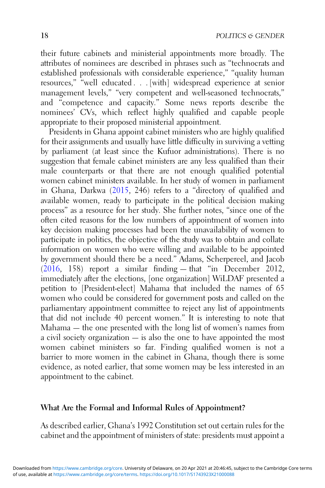their future cabinets and ministerial appointments more broadly. The attributes of nominees are described in phrases such as "technocrats and established professionals with considerable experience," "quality human resources," "well educated . . . [with] widespread experience at senior management levels," "very competent and well-seasoned technocrats," and "competence and capacity." Some news reports describe the nominees' CVs, which reflect highly qualified and capable people appropriate to their proposed ministerial appointment.

Presidents in Ghana appoint cabinet ministers who are highly qualified for their assignments and usually have little difficulty in surviving a vetting by parliament (at least since the Kufuor administrations). There is no suggestion that female cabinet ministers are any less qualified than their male counterparts or that there are not enough qualified potential women cabinet ministers available. In her study of women in parliament in Ghana, Darkwa [\(2015](#page-26-0), 246) refers to a "directory of qualified and available women, ready to participate in the political decision making process" as a resource for her study. She further notes, "since one of the often cited reasons for the low numbers of appointment of women into key decision making processes had been the unavailability of women to participate in politics, the objective of the study was to obtain and collate information on women who were willing and available to be appointed by government should there be a need." Adams, Scherpereel, and Jacob ([2016,](#page-24-0) 158) report a similar finding — that "in December 2012, immediately after the elections, [one organization] WiLDAF presented a petition to [President-elect] Mahama that included the names of 65 women who could be considered for government posts and called on the parliamentary appointment committee to reject any list of appointments that did not include 40 percent women." It is interesting to note that Mahama — the one presented with the long list of women's names from a civil society organization — is also the one to have appointed the most women cabinet ministers so far. Finding qualified women is not a barrier to more women in the cabinet in Ghana, though there is some evidence, as noted earlier, that some women may be less interested in an appointment to the cabinet.

# What Are the Formal and Informal Rules of Appointment?

As described earlier, Ghana's 1992 Constitution set out certain rules for the cabinet and the appointment of ministers of state: presidents must appoint a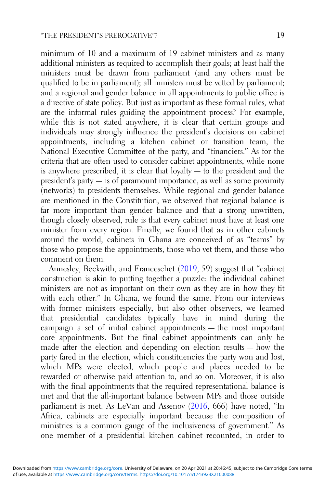minimum of 10 and a maximum of 19 cabinet ministers and as many additional ministers as required to accomplish their goals; at least half the ministers must be drawn from parliament (and any others must be qualified to be in parliament); all ministers must be vetted by parliament; and a regional and gender balance in all appointments to public office is a directive of state policy. But just as important as these formal rules, what are the informal rules guiding the appointment process? For example, while this is not stated anywhere, it is clear that certain groups and individuals may strongly influence the president's decisions on cabinet appointments, including a kitchen cabinet or transition team, the National Executive Committee of the party, and "financiers." As for the criteria that are often used to consider cabinet appointments, while none is anywhere prescribed, it is clear that  $\frac{1}{2}$  loyalty  $-$  to the president and the president's party — is of paramount importance, as well as some proximity (networks) to presidents themselves. While regional and gender balance are mentioned in the Constitution, we observed that regional balance is far more important than gender balance and that a strong unwritten, though closely observed, rule is that every cabinet must have at least one minister from every region. Finally, we found that as in other cabinets around the world, cabinets in Ghana are conceived of as "teams" by those who propose the appointments, those who vet them, and those who comment on them.

Annesley, Beckwith, and Franceschet ([2019,](#page-25-0) 59) suggest that "cabinet construction is akin to putting together a puzzle: the individual cabinet ministers are not as important on their own as they are in how they fit with each other." In Ghana, we found the same. From our interviews with former ministers especially, but also other observers, we learned that presidential candidates typically have in mind during the campaign a set of initial cabinet appointments — the most important core appointments. But the final cabinet appointments can only be made after the election and depending on election results — how the party fared in the election, which constituencies the party won and lost, which MPs were elected, which people and places needed to be rewarded or otherwise paid attention to, and so on. Moreover, it is also with the final appointments that the required representational balance is met and that the all-important balance between MPs and those outside parliament is met. As LeVan and Assenov ([2016,](#page-26-0) 666) have noted, "In Africa, cabinets are especially important because the composition of ministries is a common gauge of the inclusiveness of government." As one member of a presidential kitchen cabinet recounted, in order to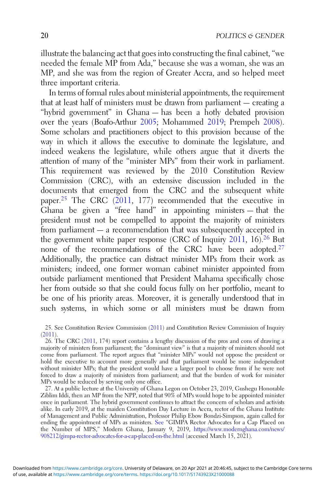illustrate the balancing act that goes into constructing the final cabinet, "we needed the female MP from Ada," because she was a woman, she was an MP, and she was from the region of Greater Accra, and so helped meet three important criteria.

In terms of formal rules about ministerial appointments, the requirement that at least half of ministers must be drawn from parliament — creating a "hybrid government" in Ghana — has been a hotly debated provision over the years (Boafo-Arthur [2005](#page-25-0); Mohammed [2019](#page-27-0); Prempeh [2008\)](#page-27-0). Some scholars and practitioners object to this provision because of the way in which it allows the executive to dominate the legislature, and indeed weakens the legislature, while others argue that it diverts the attention of many of the "minister MPs" from their work in parliament. This requirement was reviewed by the 2010 Constitution Review Commission (CRC), with an extensive discussion included in the documents that emerged from the CRC and the subsequent white paper.25 The CRC [\(2011,](#page-26-0) 177) recommended that the executive in Ghana be given a "free hand" in appointing ministers — that the president must not be compelled to appoint the majority of ministers from parliament — a recommendation that was subsequently accepted in the government white paper response (CRC of Inquiry [2011](#page-26-0), 16).26 But none of the recommendations of the CRC have been adopted.27 Additionally, the practice can distract minister MPs from their work as ministers; indeed, one former woman cabinet minister appointed from outside parliament mentioned that President Mahama specifically chose her from outside so that she could focus fully on her portfolio, meant to be one of his priority areas. Moreover, it is generally understood that in such systems, in which some or all ministers must be drawn from

27. At a public lecture at the University of Ghana Legon on October 23, 2019, Gushegu Honorable Ziblim Iddi, then an MP from the NPP, noted that 90% of MPs would hope to be appointed minister once in parliament. The hybrid government continues to attract the concern of scholars and activists alike. In early 2019, at the maiden Constitution Day Lecture in Accra, rector of the Ghana Institute of Management and Public Administration, Professor Philip Ebow Bondzi-Simpson, again called for ending the appointment of MPs as ministers. [See](https://www.ghanaweb.com/GhanaHomePage/NewsArchive/Stop-appointing-MPs-as-ministers-GIMPA-rector-advocates-713401) "GIMPA Rector Advocates for a Cap Placed on the Number of MPS," Modern Ghana, January 9, 2019, [https://www.modernghana.com/news/](https://www.modernghana.com/news/908212/gimpa-rector-advocates-for-a-cap-placed-on-the.html) [908212/gimpa-rector-advocates-for-a-cap-placed-on-the.html](https://www.modernghana.com/news/908212/gimpa-rector-advocates-for-a-cap-placed-on-the.html) (accessed March 15, 2021).

<sup>25.</sup> See Constitution Review Commission ([2011\)](#page-26-0) and Constitution Review Commission of Inquiry ([2011\)](#page-26-0).

<sup>26.</sup> The CRC [\(2011](#page-26-0), 174) report contains a lengthy discussion of the pros and cons of drawing a majority of ministers from parliament; the "dominant view" is that a majority of ministers should not come from parliament. The report argues that "minister MPs" would not oppose the president or hold the executive to account more generally and that parliament would be more independent without minister MPs; that the president would have a larger pool to choose from if he were not forced to draw a majority of ministers from parliament; and that the burden of work for minister MPs would be reduced by serving only one office.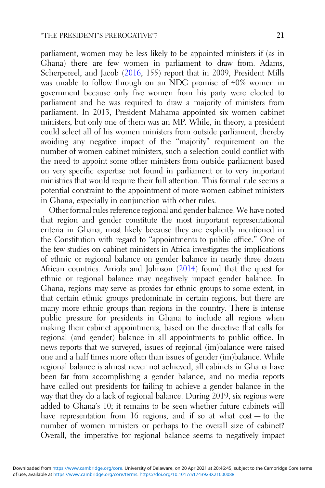parliament, women may be less likely to be appointed ministers if (as in Ghana) there are few women in parliament to draw from. Adams, Scherpereel, and Jacob [\(2016](#page-24-0), 155) report that in 2009, President Mills was unable to follow through on an NDC promise of 40% women in government because only five women from his party were elected to parliament and he was required to draw a majority of ministers from parliament. In 2013, President Mahama appointed six women cabinet ministers, but only one of them was an MP. While, in theory, a president could select all of his women ministers from outside parliament, thereby avoiding any negative impact of the "majority" requirement on the number of women cabinet ministers, such a selection could conflict with the need to appoint some other ministers from outside parliament based on very specific expertise not found in parliament or to very important ministries that would require their full attention. This formal rule seems a potential constraint to the appointment of more women cabinet ministers in Ghana, especially in conjunction with other rules.

Other formal rules reference regional and gender balance. We have noted that region and gender constitute the most important representational criteria in Ghana, most likely because they are explicitly mentioned in the Constitution with regard to "appointments to public office." One of the few studies on cabinet ministers in Africa investigates the implications of ethnic or regional balance on gender balance in nearly three dozen African countries. Arriola and Johnson ([2014](#page-25-0)) found that the quest for ethnic or regional balance may negatively impact gender balance. In Ghana, regions may serve as proxies for ethnic groups to some extent, in that certain ethnic groups predominate in certain regions, but there are many more ethnic groups than regions in the country. There is intense public pressure for presidents in Ghana to include all regions when making their cabinet appointments, based on the directive that calls for regional (and gender) balance in all appointments to public office. In news reports that we surveyed, issues of regional (im)balance were raised one and a half times more often than issues of gender (im)balance. While regional balance is almost never not achieved, all cabinets in Ghana have been far from accomplishing a gender balance, and no media reports have called out presidents for failing to achieve a gender balance in the way that they do a lack of regional balance. During 2019, six regions were added to Ghana's 10; it remains to be seen whether future cabinets will have representation from 16 regions, and if so at what cost – to the number of women ministers or perhaps to the overall size of cabinet? Overall, the imperative for regional balance seems to negatively impact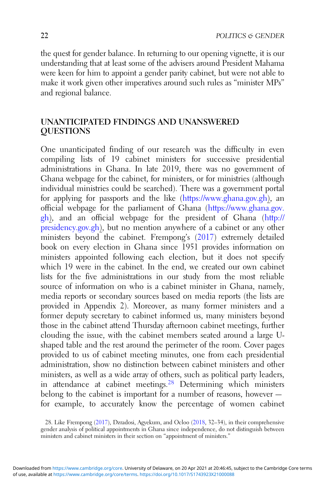the quest for gender balance. In returning to our opening vignette, it is our understanding that at least some of the advisers around President Mahama were keen for him to appoint a gender parity cabinet, but were not able to make it work given other imperatives around such rules as "minister MPs" and regional balance.

# UNANTICIPATED FINDINGS AND UNANSWERED **OUESTIONS**

One unanticipated finding of our research was the difficulty in even compiling lists of 19 cabinet ministers for successive presidential administrations in Ghana. In late 2019, there was no government of Ghana webpage for the cabinet, for ministers, or for ministries (although individual ministries could be searched). There was a government portal for applying for passports and the like (<https://www.ghana.gov.gh>), an official webpage for the parliament of Ghana [\(https://www.ghana.gov.](https://www.ghana.gov.gh) [gh](https://www.ghana.gov.gh)), and an official webpage for the president of Ghana ([http://](http://presidency.gov.gh) [presidency.gov.gh](http://presidency.gov.gh)), but no mention anywhere of a cabinet or any other ministers beyond the cabinet. Frempong's [\(2017](#page-26-0)) extremely detailed book on every election in Ghana since 1951 provides information on ministers appointed following each election, but it does not specify which 19 were in the cabinet. In the end, we created our own cabinet lists for the five administrations in our study from the most reliable source of information on who is a cabinet minister in Ghana, namely, media reports or secondary sources based on media reports (the lists are provided in Appendix 2). Moreover, as many former ministers and a former deputy secretary to cabinet informed us, many ministers beyond those in the cabinet attend Thursday afternoon cabinet meetings, further clouding the issue, with the cabinet members seated around a large Ushaped table and the rest around the perimeter of the room. Cover pages provided to us of cabinet meeting minutes, one from each presidential administration, show no distinction between cabinet ministers and other ministers, as well as a wide array of others, such as political party leaders, in attendance at cabinet meetings.<sup>28</sup> Determining which ministers belong to the cabinet is important for a number of reasons, however for example, to accurately know the percentage of women cabinet

<sup>28.</sup> Like Frempong [\(2017](#page-26-0)), Dzradosi, Agyekum, and Ocloo [\(2018](#page-26-0), 32–34), in their comprehensive gender analysis of political appointments in Ghana since independence, do not distinguish between ministers and cabinet ministers in their section on "appointment of ministers."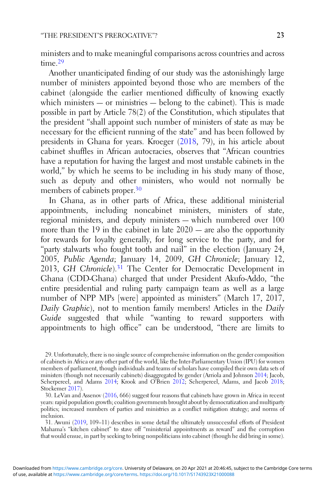ministers and to make meaningful comparisons across countries and across time.<sup>29</sup>

Another unanticipated finding of our study was the astonishingly large number of ministers appointed beyond those who are members of the cabinet (alongside the earlier mentioned difficulty of knowing exactly which ministers — or ministries — belong to the cabinet). This is made possible in part by Article 78(2) of the Constitution, which stipulates that the president "shall appoint such number of ministers of state as may be necessary for the efficient running of the state" and has been followed by presidents in Ghana for years. Kroeger [\(2018](#page-26-0), 79), in his article about cabinet shuffles in African autocracies, observes that "African countries have a reputation for having the largest and most unstable cabinets in the world," by which he seems to be including in his study many of those, such as deputy and other ministers, who would not normally be members of cabinets proper.<sup>30</sup>

In Ghana, as in other parts of Africa, these additional ministerial appointments, including noncabinet ministers, ministers of state, regional ministers, and deputy ministers — which numbered over 100 more than the 19 in the cabinet in late 2020 — are also the opportunity for rewards for loyalty generally, for long service to the party, and for "party stalwarts who fought tooth and nail" in the election (January 24, 2005, Public Agenda; January 14, 2009, GH Chronicle; January 12, 2013, GH Chronicle).<sup>31</sup> The Center for Democratic Development in Ghana (CDD-Ghana) charged that under President Akufo-Addo, "the entire presidential and ruling party campaign team as well as a large number of NPP MPs [were] appointed as ministers" (March 17, 2017, Daily Graphic), not to mention family members! Articles in the Daily Guide suggested that while "wanting to reward supporters with appointments to high office" can be understood, "there are limits to

31. Awuni ([2019,](#page-25-0) 109–11) describes in some detail the ultimately unsuccessful efforts of President Mahama's "kitchen cabinet" to stave off "ministerial appointments as reward" and the corruption that would ensue, in part by seeking to bring nonpoliticians into cabinet (though he did bring in some).

<sup>29.</sup> Unfortunately, there is no single source of comprehensive information on the gender composition of cabinets in Africa or any other part of the world, like the Inter-Parliamentary Union (IPU) for women members of parliament, though individuals and teams of scholars have compiled their own data sets of ministers (though not necessarily cabinets) disaggregated by gender (Arriola and Johnson [2014](#page-25-0); Jacob, Scherpereel, and Adams [2014](#page-26-0); Krook and O'Brien [2012;](#page-26-0) Scherpereel, Adams, and Jacob [2018;](#page-27-0) Stockemer [2017](#page-27-0)).

<sup>30.</sup> LeVan and Assenov [\(2016](#page-26-0), 666) suggest four reasons that cabinets have grown in Africa in recent years: rapid population growth; coalition governments brought about by democratization and multiparty politics; increased numbers of parties and ministries as a conflict mitigation strategy; and norms of inclusion.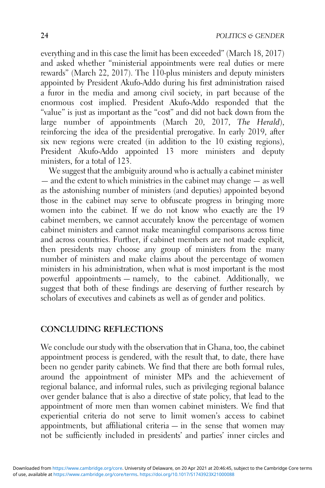everything and in this case the limit has been exceeded" (March 18, 2017) and asked whether "ministerial appointments were real duties or mere rewards" (March 22, 2017). The 110-plus ministers and deputy ministers appointed by President Akufo-Addo during his first administration raised a furor in the media and among civil society, in part because of the enormous cost implied. President Akufo-Addo responded that the "value" is just as important as the "cost" and did not back down from the large number of appointments (March 20, 2017, The Herald), reinforcing the idea of the presidential prerogative. In early 2019, after six new regions were created (in addition to the 10 existing regions), President Akufo-Addo appointed 13 more ministers and deputy ministers, for a total of 123.

We suggest that the ambiguity around who is actually a cabinet minister — and the extent to which ministries in the cabinet may change — as well as the astonishing number of ministers (and deputies) appointed beyond those in the cabinet may serve to obfuscate progress in bringing more women into the cabinet. If we do not know who exactly are the 19 cabinet members, we cannot accurately know the percentage of women cabinet ministers and cannot make meaningful comparisons across time and across countries. Further, if cabinet members are not made explicit, then presidents may choose any group of ministers from the many number of ministers and make claims about the percentage of women ministers in his administration, when what is most important is the most powerful appointments — namely, to the cabinet. Additionally, we suggest that both of these findings are deserving of further research by scholars of executives and cabinets as well as of gender and politics.

# CONCLUDING REFLECTIONS

We conclude our study with the observation that in Ghana, too, the cabinet appointment process is gendered, with the result that, to date, there have been no gender parity cabinets. We find that there are both formal rules, around the appointment of minister MPs and the achievement of regional balance, and informal rules, such as privileging regional balance over gender balance that is also a directive of state policy, that lead to the appointment of more men than women cabinet ministers. We find that experiential criteria do not serve to limit women's access to cabinet appointments, but affiliational criteria  $-$  in the sense that women may not be sufficiently included in presidents' and parties' inner circles and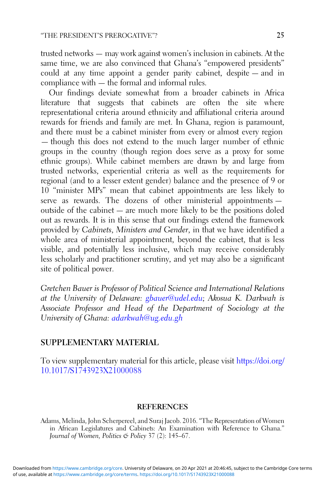<span id="page-24-0"></span>trusted networks — may work against women's inclusion in cabinets. At the same time, we are also convinced that Ghana's "empowered presidents" could at any time appoint a gender parity cabinet, despite — and in compliance with — the formal and informal rules.

Our findings deviate somewhat from a broader cabinets in Africa literature that suggests that cabinets are often the site where representational criteria around ethnicity and affiliational criteria around rewards for friends and family are met. In Ghana, region is paramount, and there must be a cabinet minister from every or almost every region — though this does not extend to the much larger number of ethnic groups in the country (though region does serve as a proxy for some ethnic groups). While cabinet members are drawn by and large from trusted networks, experiential criteria as well as the requirements for regional (and to a lesser extent gender) balance and the presence of 9 or 10 "minister MPs" mean that cabinet appointments are less likely to serve as rewards. The dozens of other ministerial appointments outside of the cabinet — are much more likely to be the positions doled out as rewards. It is in this sense that our findings extend the framework provided by Cabinets, Ministers and Gender, in that we have identified a whole area of ministerial appointment, beyond the cabinet, that is less visible, and potentially less inclusive, which may receive considerably less scholarly and practitioner scrutiny, and yet may also be a significant site of political power.

Gretchen Bauer is Professor of Political Science and International Relations at the University of Delaware: [gbauer@udel.edu](mailto:gbauer@udel.edu); Akosua K. Darkwah is Associate Professor and Head of the Department of Sociology at the University of Ghana: [adarkwah@ug.edu.gh](mailto:adarkwah@ug.edu.gh)

# SUPPLEMENTARY MATERIAL

To view supplementary material for this article, please visit [https://doi.org/](https://doi.org/10.1017/S1743923X21000088) [10.1017/S1743923X21000088](https://doi.org/10.1017/S1743923X21000088)

#### **REFERENCES**

Adams, Melinda, John Scherpereel, and Suraj Jacob. 2016. "The Representation of Women in African Legislatures and Cabinets: An Examination with Reference to Ghana." Journal of Women, Politics & Policy 37 (2): 145–67.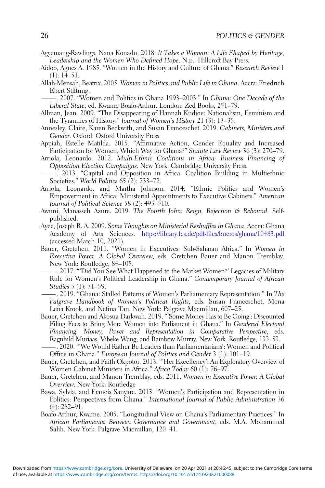- <span id="page-25-0"></span>Agyemang-Rawlings, Nana Konadu. 2018. It Takes a Woman: A Life Shaped by Heritage, Leadership and the Women Who Defined Hope. N.p.: Hillcroft Bay Press.
- Aidoo, Agnes A. 1985. "Women in the History and Culture of Ghana." Research Review 1 (1): 14–51.
- Allah-Mensah, Beatrix. 2005. Women in Politics and Public Life in Ghana. Accra: Friedrich Ebert Stiftung.
- –. 2007. "Women and Politics in Ghana 1993–2003." In Ghana: One Decade of the Liberal State, ed. Kwame Boafo-Arthur. London: Zed Books, 251–79.
- Allman, Jean. 2009. "The Disappearing of Hannah Kudjoe: Nationalism, Feminism and the Tyrannies of History." Journal of Women's History 21 (3): 13–35.
- Annesley, Claire, Karen Beckwith, and Susan Franceschet. 2019. Cabinets, Ministers and Gender. Oxford: Oxford University Press.
- Appiah, Estelle Matilda. 2015. "Affirmative Action, Gender Equality and Increased Participation for Women, Which Way for Ghana?" Statute Law Review 36 (3): 270–79.
- Arriola, Leonardo. 2012. Multi-Ethnic Coalitions in Africa: Business Financing of Opposition Election Campaigns. New York: Cambridge University Press.
- ———. 2013. "Capital and Opposition in Africa: Coalition Building in Multiethnic Societies." World Politics 65 (2): 233–72.
- Arriola, Leonardo, and Martha Johnson. 2014. "Ethnic Politics and Women's Empowerment in Africa: Ministerial Appointments to Executive Cabinets." American Journal of Political Science 58 (2): 495–510.
- Awuni, Manasseh Azure. 2019. The Fourth John: Reign, Rejection & Rebound. Selfpublished.
- Ayee, Joseph R. A. 2009. Some Thoughts on Ministerial Reshuffles in Ghana. Accra: Ghana Academy of Arts Sciences. <https://library.fes.de/pdf-files/bueros/ghana/10483.pdf> (accessed March 10, 2021).
- Bauer, Gretchen. 2011. "Women in Executives: Sub-Saharan Africa." In Women in Executive Power: A Global Overview, eds. Gretchen Bauer and Manon Tremblay. New York: Routledge, 84–105.
	- ———. 2017. "'Did You See What Happened to the Market Women?' Legacies of Military Rule for Women's Political Leadership in Ghana." Contemporary Journal of African Studies 5 (1): 31–59.
	- ———. 2019. "Ghana: Stalled Patterns of Women's Parliamentary Representation." In The Palgrave Handbook of Women's Political Rights, eds. Susan Franceschet, Mona Lena Krook, and Netina Tan. New York: Palgrave Macmillan, 607–25.
- Bauer, Gretchen and Akosua Darkwah. 2019. "'Some Money Has to Be Going': Discounted Filing Fees to Bring More Women into Parliament in Ghana." In Gendered Electoral Financing: Money, Power and Representation in Comparative Perspective, eds. Ragnhild Muriaas, Vibeke Wang, and Rainbow Murray. New York: Routledge, 133–53.
- ———. 2020. "'We Would Rather Be Leaders than Parliamentarians': Women and Political Office in Ghana." European Journal of Politics and Gender 3 (1): 101–19.
- Bauer, Gretchen, and Faith Okpotor. 2013. "'Her Excellency': An Exploratory Overview of Women Cabinet Ministers in Africa." Africa Today 60 (1): 76–97.
- Bauer, Gretchen, and Manon Tremblay, eds. 2011. Women in Executive Power: A Global Overview. New York: Routledge
- Bawa, Sylvia, and Francis Sanyare. 2013. "Women's Participation and Representation in Politics: Perspectives from Ghana." International Journal of Public Administration 36 (4): 282–91.
- Boafo-Arthur, Kwame. 2005. "Longitudinal View on Ghana's Parliamentary Practices." In African Parliaments: Between Governance and Government, eds. M.A. Mohammed Salih. New York: Palgrave Macmillan, 120–41.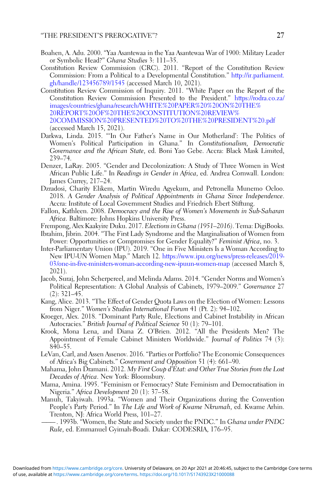- <span id="page-26-0"></span>Boahen, A. Adu. 2000. "Yaa Asantewaa in the Yaa Asantewaa War of 1900: Military Leader or Symbolic Head?" Ghana Studies 3: 111–35.
- Constitution Review Commission (CRC). 2011. "Report of the Constitution Review Commission: From a Political to a Developmental Constitution." [http://ir.parliament.](http://ir.parliament.gh/handle/123456789/1545) [gh/handle/123456789/1545](http://ir.parliament.gh/handle/123456789/1545) (accessed March 10, 2021).
- Constitution Review Commission of Inquiry. 2011. "White Paper on the Report of the Constitution Review Commission Presented to the President." [https://rodra.co.za/](https://rodra.co.za/images/countries/ghana/research/WHITE%20PAPER%20%20ON%20THE%20REPORT%20OF%20THE%20CONSTITUTION%20REVIEW%20COMMISSION%20PRESENTED%20TO%20THE%20PRESIDENT%20.pdf) [images/countries/ghana/research/WHITE%20PAPER%20%20ON%20THE%](https://rodra.co.za/images/countries/ghana/research/WHITE%20PAPER%20%20ON%20THE%20REPORT%20OF%20THE%20CONSTITUTION%20REVIEW%20COMMISSION%20PRESENTED%20TO%20THE%20PRESIDENT%20.pdf) [20REPORT%20OF%20THE%20CONSTITUTION%20REVIEW%](https://rodra.co.za/images/countries/ghana/research/WHITE%20PAPER%20%20ON%20THE%20REPORT%20OF%20THE%20CONSTITUTION%20REVIEW%20COMMISSION%20PRESENTED%20TO%20THE%20PRESIDENT%20.pdf) [20COMMISSION%20PRESENTED%20TO%20THE%20PRESIDENT%20.pdf](https://rodra.co.za/images/countries/ghana/research/WHITE%20PAPER%20%20ON%20THE%20REPORT%20OF%20THE%20CONSTITUTION%20REVIEW%20COMMISSION%20PRESENTED%20TO%20THE%20PRESIDENT%20.pdf) (accessed March 15, 2021).
- Darkwa, Linda. 2015. "'In Our Father's Name in Our Motherland': The Politics of Women's Political Participation in Ghana." In Constitutionalism, Democratic Governance and the African State, ed. Boni Yao Gebe. Accra: Black Mask Limited, 239–74.
- Denzer, LaRay. 2005. "Gender and Decolonization: A Study of Three Women in West African Public Life." In Readings in Gender in Africa, ed. Andrea Cornwall. London: James Currey, 217–24.
- Dzradosi, Charity Elikem, Martin Wiredu Agyekum, and Petronella Munemo Ocloo. 2018. A Gender Analysis of Political Appointments in Ghana Since Independence. Accra: Institute of Local Government Studies and Friedrich Ebert Stiftung.
- Fallon, Kathleen. 2008. Democracy and the Rise of Women's Movements in Sub-Saharan Africa. Baltimore: Johns Hopkins University Press.
- Frempong, Alex Kaakyire Duku. 2017. Elections in Ghana (1951–2016). Tema: DigiBooks.
- Ibrahim, Jibrin. 2004. "The First Lady Syndrome and the Marginalisation of Women from Power: Opportunities or Compromises for Gender Equality?" Feminist Africa, no. 3.
- Inter-Parliamentary Union (IPU). 2019. "One in Five Ministers Is a Woman According to New IPU-UN Women Map." March 12. [https://www.ipu.org/news/press-releases/2019-](https://www.ipu.org/news/press-releases/2019-03/one-in-five-ministers-woman-according-new-ipuun-women-map) [03/one-in-five-ministers-woman-according-new-ipuun-women-map](https://www.ipu.org/news/press-releases/2019-03/one-in-five-ministers-woman-according-new-ipuun-women-map) (accessed March 8, 2021).
- Jacob, Suraj, John Scherpereel, and Melinda Adams. 2014. "Gender Norms and Women's Political Representation: A Global Analysis of Cabinets, 1979–2009." Governance 27 (2): 321–45.
- Kang, Alice. 2013. "The Effect of Gender Quota Laws on the Election of Women: Lessons from Niger." Women's Studies International Forum 41 (Pt. 2): 94–102.
- Kroeger, Alex. 2018. "Dominant Party Rule, Elections and Cabinet Instability in African Autocracies." British Journal of Political Science 50 (1): 79–101.
- Krook, Mona Lena, and Diana Z. O'Brien. 2012. "All the Presidents Men? The Appointment of Female Cabinet Ministers Worldwide." Journal of Politics 74 (3): 840–55.
- LeVan, Carl, and Assen Assenov. 2016. "Parties or Portfolio? The Economic Consequences of Africa's Big Cabinets." Government and Opposition 51 (4): 661–90.
- Mahama, John Dramani. 2012. My First Coup d'Etat: and Other True Stories from the Lost Decades of Africa. New York: Bloomsbury.
- Mama, Amina. 1995. "Feminism or Femocracy? State Feminism and Democratisation in Nigeria." Africa Development 20 (1): 37–58.
- Manuh, Takyiwah. 1993a. "Women and Their Organizations during the Convention People's Party Period." In The Life and Work of Kwame Nkrumah, ed. Kwame Arhin. Trenton, NJ: Africa World Press, 101–27.
	- -. 1993b. "Women, the State and Society under the PNDC." In Ghana under PNDC Rule, ed. Emmanuel Gyimah-Boadi. Dakar: CODESRIA, 176–95.